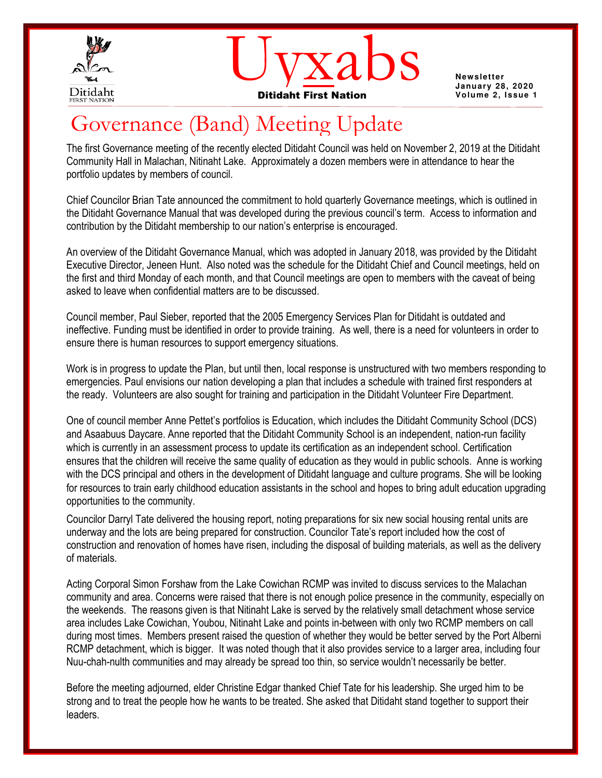



**Newsletter** 

# Governance (Band) Meeting Update

The first Governance meeting of the recently elected Ditidaht Council was held on November 2, 2019 at the Ditidaht Community Hall in Malachan, Nitinaht Lake. Approximately a dozen members were in attendance to hear the portfolio updates by members of council.

Chief Councilor Brian Tate announced the commitment to hold quarterly Governance meetings, which is outlined in the Ditidaht Governance Manual that was developed during the previous council's term. Access to information and contribution by the Ditidaht membership to our nation's enterprise is encouraged.

An overview of the Ditidaht Governance Manual, which was adopted in January 2018, was provided by the Ditidaht Executive Director, Jeneen Hunt. Also noted was the schedule for the Ditidaht Chief and Council meetings, held on the first and third Monday of each month, and that Council meetings are open to members with the caveat of being asked to leave when confidential matters are to be discussed.

Council member, Paul Sieber, reported that the 2005 Emergency Services Plan for Ditidaht is outdated and ineffective. Funding must be identified in order to provide training. As well, there is a need for volunteers in order to ensure there is human resources to support emergency situations.

Work is in progress to update the Plan, but until then, local response is unstructured with two members responding to emergencies. Paul envisions our nation developing a plan that includes a schedule with trained first responders at the ready. Volunteers are also sought for training and participation in the Ditidaht Volunteer Fire Department.

One of council member Anne Pettet's portfolios is Education, which includes the Ditidaht Community School (DCS) and Asaabuus Daycare. Anne reported that the Ditidaht Community School is an independent, nation-run facility which is currently in an assessment process to update its certification as an independent school. Certification ensures that the children will receive the same quality of education as they would in public schools.Anne is working with the DCS principal and others in the development of Ditidaht language and culture programs. She will be looking for resources to train early childhood education assistants in the school and hopes to bring adult education upgrading opportunities to the community.

Councilor Darryl Tate delivered the housing report, noting preparations for six new social housing rental units are underway and the lots are being prepared for construction. Councilor Tate's report included how the cost of construction and renovation of homes have risen, including the disposal of building materials, as well as the delivery of materials.

Acting Corporal Simon Forshaw from the Lake Cowichan RCMP was invited to discuss services to the Malachan community and area. Concerns were raised that there is not enough police presence in the community, especially on the weekends. The reasons given is that Nitinaht Lake is served by the relatively small detachment whose service area includes Lake Cowichan, Youbou, Nitinaht Lake and points in-between with only two RCMP members on call during most times. Members present raised the question of whether they would be better served by the Port Alberni RCMP detachment, which is bigger. It was noted though that it also provides service to a larger area, including four Nuu-chah-nulth communities and may already be spread too thin, so service wouldn't necessarily be better.

Before the meeting adjourned, elder Christine Edgar thanked Chief Tate for his leadership. She urged him to be strong and to treat the people how he wants to be treated. She asked that Ditidaht stand together to support their leaders.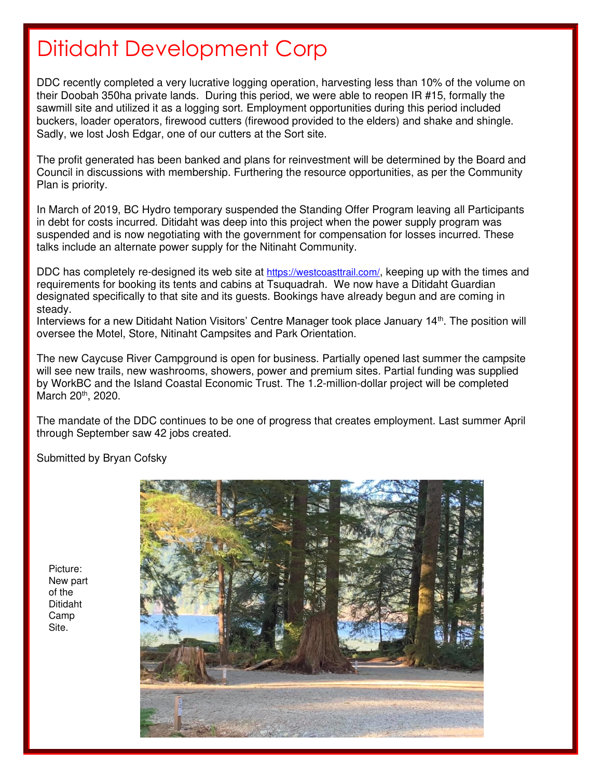# Ditidaht Development Corp

DDC recently completed a very lucrative logging operation, harvesting less than 10% of the volume on their Doobah 350ha private lands. During this period, we were able to reopen IR #15, formally the sawmill site and utilized it as a logging sort. Employment opportunities during this period included buckers, loader operators, firewood cutters (firewood provided to the elders) and shake and shingle. Sadly, we lost Josh Edgar, one of our cutters at the Sort site.

The profit generated has been banked and plans for reinvestment will be determined by the Board and Council in discussions with membership. Furthering the resource opportunities, as per the Community Plan is priority.

In March of 2019, BC Hydro temporary suspended the Standing Offer Program leaving all Participants in debt for costs incurred. Ditidaht was deep into this project when the power supply program was suspended and is now negotiating with the government for compensation for losses incurred. These talks include an alternate power supply for the Nitinaht Community.

DDC has completely re-designed its web site at <https://westcoasttrail.com/>, keeping up with the times and requirements for booking its tents and cabins at Tsuquadrah. We now have a Ditidaht Guardian designated specifically to that site and its guests. Bookings have already begun and are coming in steady.

Interviews for a new Ditidaht Nation Visitors' Centre Manager took place January 14<sup>th</sup>. The position will oversee the Motel, Store, Nitinaht Campsites and Park Orientation.

The new Caycuse River Campground is open for business. Partially opened last summer the campsite will see new trails, new washrooms, showers, power and premium sites. Partial funding was supplied by WorkBC and the Island Coastal Economic Trust. The 1.2-million-dollar project will be completed March 20<sup>th</sup>, 2020.

The mandate of the DDC continues to be one of progress that creates employment. Last summer April through September saw 42 jobs created.

Submitted by Bryan Cofsky

Picture: New part of the Ditidaht Camp Site.

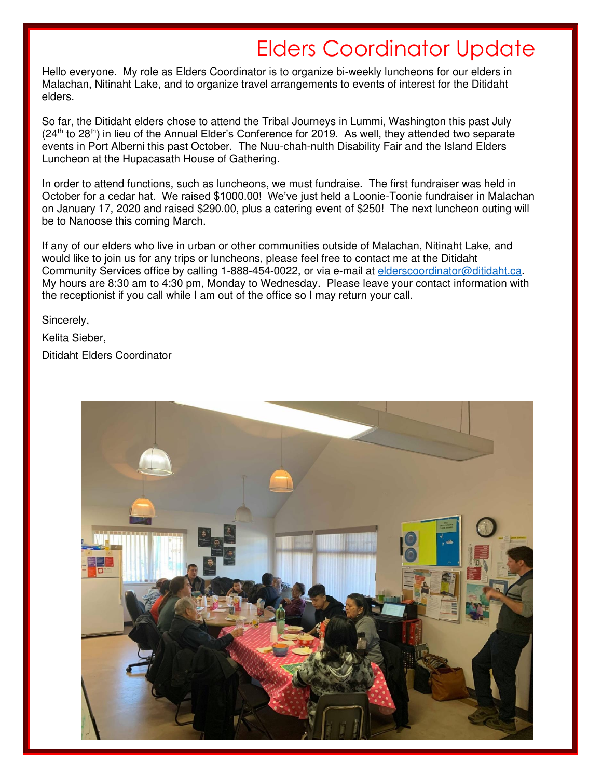# Elders Coordinator Update

Hello everyone. My role as Elders Coordinator is to organize bi-weekly luncheons for our elders in Malachan, Nitinaht Lake, and to organize travel arrangements to events of interest for the Ditidaht elders.

So far, the Ditidaht elders chose to attend the Tribal Journeys in Lummi, Washington this past July  $(24<sup>th</sup>$  to 28<sup>th</sup>) in lieu of the Annual Elder's Conference for 2019. As well, they attended two separate events in Port Alberni this past October. The Nuu-chah-nulth Disability Fair and the Island Elders Luncheon at the Hupacasath House of Gathering.

In order to attend functions, such as luncheons, we must fundraise. The first fundraiser was held in October for a cedar hat. We raised \$1000.00! We've just held a Loonie-Toonie fundraiser in Malachan on January 17, 2020 and raised \$290.00, plus a catering event of \$250! The next luncheon outing will be to Nanoose this coming March.

If any of our elders who live in urban or other communities outside of Malachan, Nitinaht Lake, and would like to join us for any trips or luncheons, please feel free to contact me at the Ditidaht Community Services office by calling 1-888-454-0022, or via e-mail at [elderscoordinator@ditidaht.ca.](mailto:elderscoordinator@ditidaht.ca) My hours are 8:30 am to 4:30 pm, Monday to Wednesday. Please leave your contact information with the receptionist if you call while I am out of the office so I may return your call.

Sincerely,

Kelita Sieber,

Ditidaht Elders Coordinator

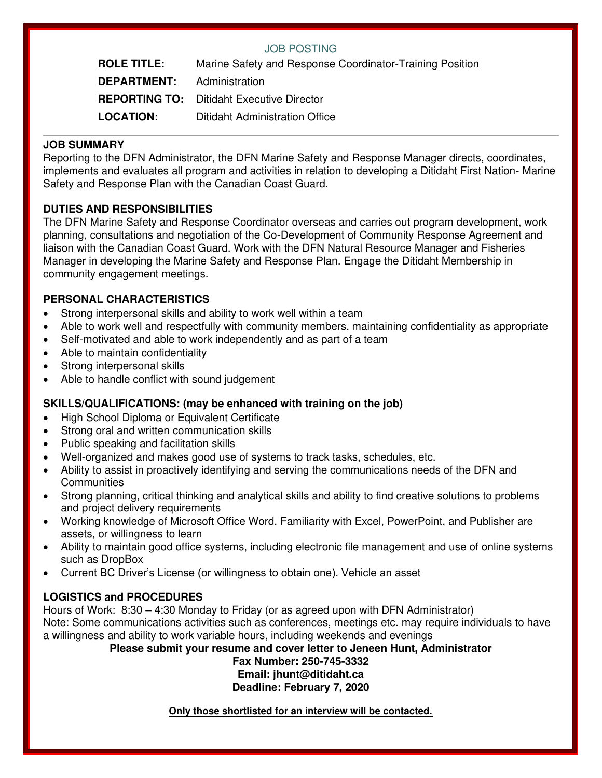### JOB POSTING

**ROLE TITLE:** Marine Safety and Response Coordinator-Training Position **DEPARTMENT:** Administration **REPORTING TO:** Ditidaht Executive Director **LOCATION:** Ditidaht Administration Office

### **JOB SUMMARY**

Reporting to the DFN Administrator, the DFN Marine Safety and Response Manager directs, coordinates, implements and evaluates all program and activities in relation to developing a Ditidaht First Nation- Marine Safety and Response Plan with the Canadian Coast Guard.

## **DUTIES AND RESPONSIBILITIES**

The DFN Marine Safety and Response Coordinator overseas and carries out program development, work planning, consultations and negotiation of the Co-Development of Community Response Agreement and liaison with the Canadian Coast Guard. Work with the DFN Natural Resource Manager and Fisheries Manager in developing the Marine Safety and Response Plan. Engage the Ditidaht Membership in community engagement meetings.

## **PERSONAL CHARACTERISTICS**

- Strong interpersonal skills and ability to work well within a team
- Able to work well and respectfully with community members, maintaining confidentiality as appropriate
- Self-motivated and able to work independently and as part of a team
- Able to maintain confidentiality
- Strong interpersonal skills
- Able to handle conflict with sound judgement

### **SKILLS/QUALIFICATIONS: (may be enhanced with training on the job)**

- High School Diploma or Equivalent Certificate
- Strong oral and written communication skills
- Public speaking and facilitation skills
- Well-organized and makes good use of systems to track tasks, schedules, etc.
- Ability to assist in proactively identifying and serving the communications needs of the DFN and **Communities**
- Strong planning, critical thinking and analytical skills and ability to find creative solutions to problems and project delivery requirements
- Working knowledge of Microsoft Office Word. Familiarity with Excel, PowerPoint, and Publisher are assets, or willingness to learn
- Ability to maintain good office systems, including electronic file management and use of online systems such as DropBox
- Current BC Driver's License (or willingness to obtain one). Vehicle an asset

### **LOGISTICS and PROCEDURES**

Hours of Work: 8:30 – 4:30 Monday to Friday (or as agreed upon with DFN Administrator) Note: Some communications activities such as conferences, meetings etc. may require individuals to have a willingness and ability to work variable hours, including weekends and evenings

**Please submit your resume and cover letter to Jeneen Hunt, Administrator** 

#### **Fax Number: 250-745-3332 Email: jhunt@ditidaht.ca Deadline: February 7, 2020**

**Only those shortlisted for an interview will be contacted.**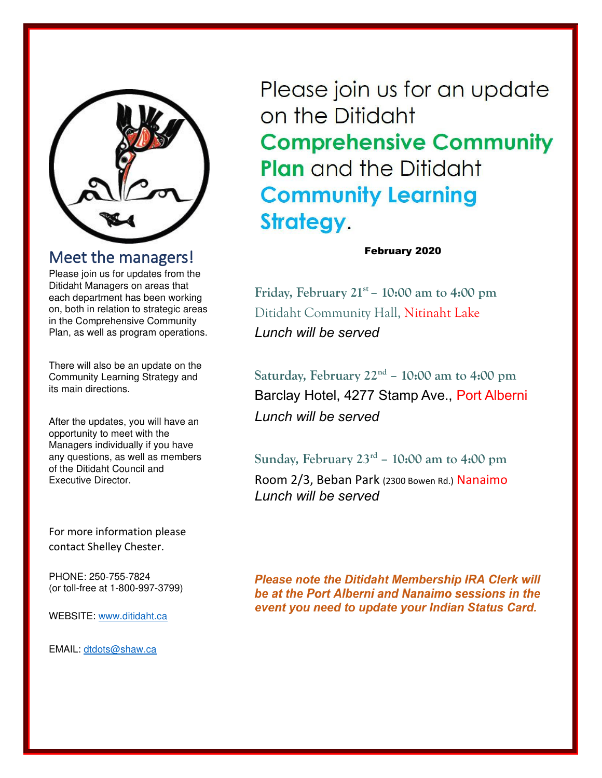

# Meet the managers!

Please join us for updates from the Ditidaht Managers on areas that each department has been working on, both in relation to strategic areas in the Comprehensive Community Plan, as well as program operations.

There will also be an update on the Community Learning Strategy and its main directions.

After the updates, you will have an opportunity to meet with the Managers individually if you have any questions, as well as members of the Ditidaht Council and Executive Director.

For more information please contact Shelley Chester.

PHONE: 250-755-7824 (or toll-free at 1-800-997-3799)

WEBSITE: [www.ditidaht.ca](http://www.ditidaht.ca/) 

EMAIL: [dtdots@shaw.ca](mailto:dtdots@shaw.ca) 

Please join us for an update on the Ditidaht **Comprehensive Community Plan** and the Ditidaht **Community Learning Strategy.** 

February 2020

**Friday, February 21st – 10:00 am to 4:00 pm**  Ditidaht Community Hall, Nitinaht Lake *Lunch will be served*

**Saturday, February 22nd – 10:00 am to 4:00 pm**  Barclay Hotel, 4277 Stamp Ave., Port Alberni *Lunch will be served*

**Sunday, February 23rd – 10:00 am to 4:00 pm** 

Room 2/3, Beban Park (2300 Bowen Rd.) Nanaimo *Lunch will be served* 

**Please note the Ditidaht Membership IRA Clerk will** be at the Port Alberni and Nanaimo sessions in the event you need to update your Indian Status Card.